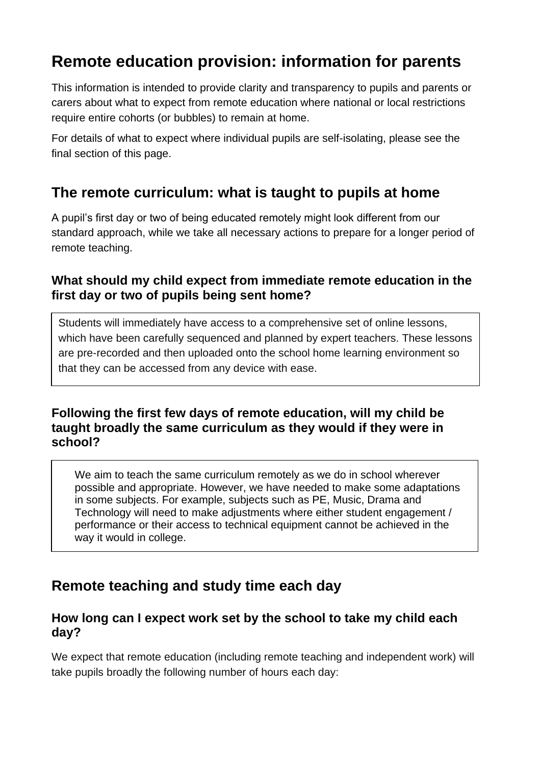# **Remote education provision: information for parents**

This information is intended to provide clarity and transparency to pupils and parents or carers about what to expect from remote education where national or local restrictions require entire cohorts (or bubbles) to remain at home.

For details of what to expect where individual pupils are self-isolating, please see the final section of this page.

## **The remote curriculum: what is taught to pupils at home**

A pupil's first day or two of being educated remotely might look different from our standard approach, while we take all necessary actions to prepare for a longer period of remote teaching.

## **What should my child expect from immediate remote education in the first day or two of pupils being sent home?**

Students will immediately have access to a comprehensive set of online lessons, which have been carefully sequenced and planned by expert teachers. These lessons are pre-recorded and then uploaded onto the school home learning environment so that they can be accessed from any device with ease.

### **Following the first few days of remote education, will my child be taught broadly the same curriculum as they would if they were in school?**

We aim to teach the same curriculum remotely as we do in school wherever possible and appropriate. However, we have needed to make some adaptations in some subjects. For example, subjects such as PE, Music, Drama and Technology will need to make adjustments where either student engagement / performance or their access to technical equipment cannot be achieved in the way it would in college.

## **Remote teaching and study time each day**

### **How long can I expect work set by the school to take my child each day?**

We expect that remote education (including remote teaching and independent work) will take pupils broadly the following number of hours each day: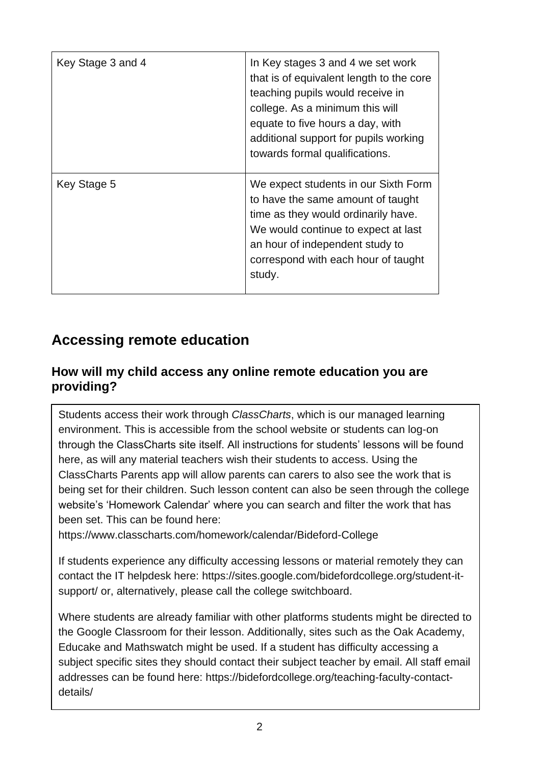| Key Stage 3 and 4 | In Key stages 3 and 4 we set work<br>that is of equivalent length to the core<br>teaching pupils would receive in<br>college. As a minimum this will<br>equate to five hours a day, with<br>additional support for pupils working<br>towards formal qualifications. |
|-------------------|---------------------------------------------------------------------------------------------------------------------------------------------------------------------------------------------------------------------------------------------------------------------|
| Key Stage 5       | We expect students in our Sixth Form<br>to have the same amount of taught<br>time as they would ordinarily have.<br>We would continue to expect at last<br>an hour of independent study to<br>correspond with each hour of taught<br>study.                         |

## **Accessing remote education**

## **How will my child access any online remote education you are providing?**

Students access their work through *ClassCharts*, which is our managed learning environment. This is accessible from the school website or students can log-on through the ClassCharts site itself. All instructions for students' lessons will be found here, as will any material teachers wish their students to access. Using the ClassCharts Parents app will allow parents can carers to also see the work that is being set for their children. Such lesson content can also be seen through the college website's 'Homework Calendar' where you can search and filter the work that has been set. This can be found here:

<https://www.classcharts.com/homework/calendar/Bideford-College>

If students experience any difficulty accessing lessons or material remotely they can contact the IT helpdesk here: [https://sites.google.com/bidefordcollege.org/student-it](https://sites.google.com/bidefordcollege.org/student-it-support/)[support/](https://sites.google.com/bidefordcollege.org/student-it-support/) or, alternatively, please call the college switchboard.

Where students are already familiar with other platforms students might be directed to the Google Classroom for their lesson. Additionally, sites such as the Oak Academy, Educake and Mathswatch might be used. If a student has difficulty accessing a subject specific sites they should contact their subject teacher by email. All staff email addresses can be found here: [https://bidefordcollege.org/teaching-faculty-contact](https://bidefordcollege.org/teaching-faculty-contact-details/)[details/](https://bidefordcollege.org/teaching-faculty-contact-details/)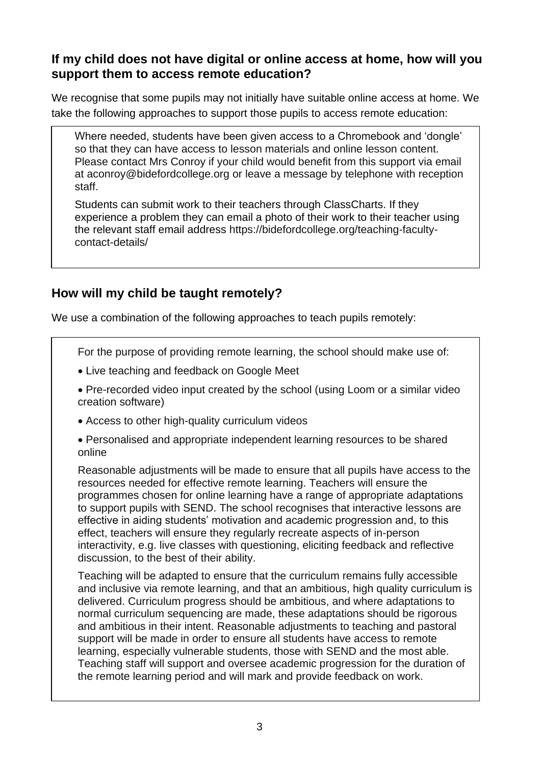### **If my child does not have digital or online access at home, how will you support them to access remote education?**

We recognise that some pupils may not initially have suitable online access at home. We take the following approaches to support those pupils to access remote education:

Where needed, students have been given access to a Chromebook and 'dongle' so that they can have access to lesson materials and online lesson content. Please contact Mrs Conroy if your child would benefit from this support via email at [aconroy@bidefordcollege.org](mailto:aconroy@bidefordcollege.org) or leave a message by telephone with reception staff.

Students can submit work to their teachers through ClassCharts. If they experience a problem they can email a photo of their work to their teacher using the relevant staff email address [https://bidefordcollege.org/teaching-faculty](https://bidefordcollege.org/teaching-faculty-contact-details/)[contact-details/](https://bidefordcollege.org/teaching-faculty-contact-details/)

## **How will my child be taught remotely?**

We use a combination of the following approaches to teach pupils remotely:

For the purpose of providing remote learning, the school should make use of:

- Live teaching and feedback on Google Meet
- Pre-recorded video input created by the school (using Loom or a similar video creation software)
- Access to other high-quality curriculum videos
- Personalised and appropriate independent learning resources to be shared online

Reasonable adjustments will be made to ensure that all pupils have access to the resources needed for effective remote learning. Teachers will ensure the programmes chosen for online learning have a range of appropriate adaptations to support pupils with SEND. The school recognises that interactive lessons are effective in aiding students' motivation and academic progression and, to this effect, teachers will ensure they regularly recreate aspects of in-person interactivity, e.g. live classes with questioning, eliciting feedback and reflective discussion, to the best of their ability.

Teaching will be adapted to ensure that the curriculum remains fully accessible and inclusive via remote learning, and that an ambitious, high quality curriculum is delivered. Curriculum progress should be ambitious, and where adaptations to normal curriculum sequencing are made, these adaptations should be rigorous and ambitious in their intent. Reasonable adjustments to teaching and pastoral support will be made in order to ensure all students have access to remote learning, especially vulnerable students, those with SEND and the most able. Teaching staff will support and oversee academic progression for the duration of the remote learning period and will mark and provide feedback on work.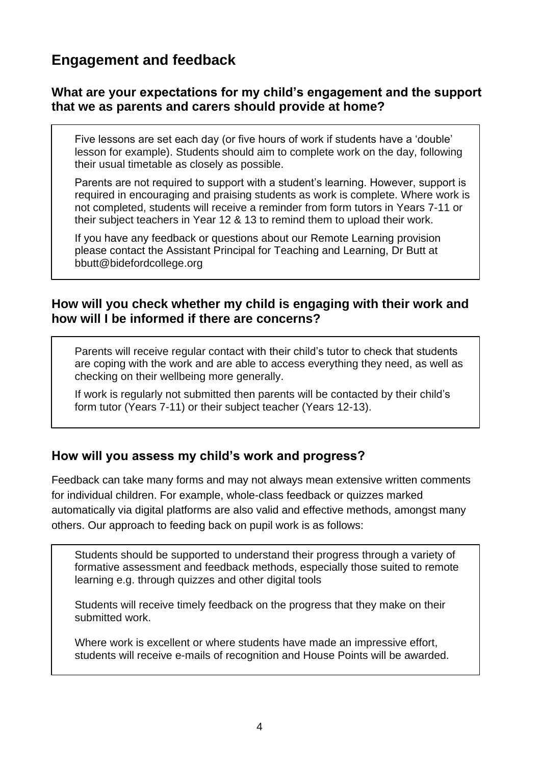## **Engagement and feedback**

#### **What are your expectations for my child's engagement and the support that we as parents and carers should provide at home?**

Five lessons are set each day (or five hours of work if students have a 'double' lesson for example). Students should aim to complete work on the day, following their usual timetable as closely as possible.

Parents are not required to support with a student's learning. However, support is required in encouraging and praising students as work is complete. Where work is not completed, students will receive a reminder from form tutors in Years 7-11 or their subject teachers in Year 12 & 13 to remind them to upload their work.

If you have any feedback or questions about our Remote Learning provision please contact the Assistant Principal for Teaching and Learning, Dr Butt at [bbutt@bidefordcollege.org](mailto:bbutt@bidefordcollege.org)

#### **How will you check whether my child is engaging with their work and how will I be informed if there are concerns?**

Parents will receive regular contact with their child's tutor to check that students are coping with the work and are able to access everything they need, as well as checking on their wellbeing more generally.

If work is regularly not submitted then parents will be contacted by their child's form tutor (Years 7-11) or their subject teacher (Years 12-13).

### **How will you assess my child's work and progress?**

Feedback can take many forms and may not always mean extensive written comments for individual children. For example, whole-class feedback or quizzes marked automatically via digital platforms are also valid and effective methods, amongst many others. Our approach to feeding back on pupil work is as follows:

Students should be supported to understand their progress through a variety of formative assessment and feedback methods, especially those suited to remote learning e.g. through quizzes and other digital tools

Students will receive timely feedback on the progress that they make on their submitted work.

Where work is excellent or where students have made an impressive effort, students will receive e-mails of recognition and House Points will be awarded.